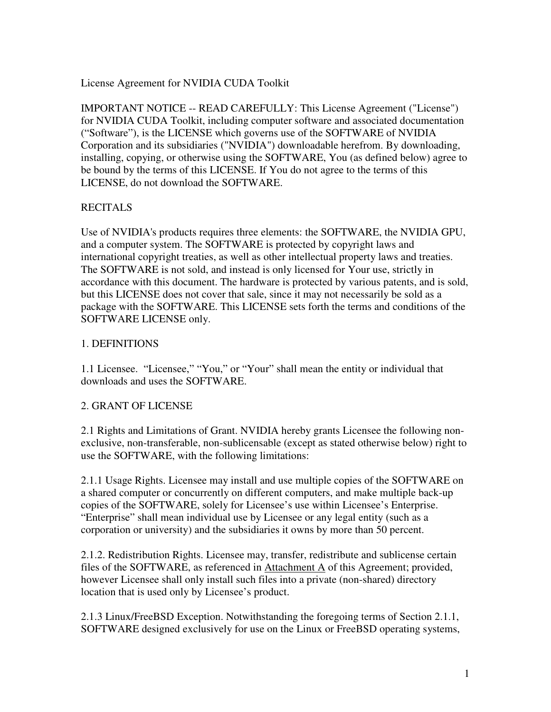### License Agreement for NVIDIA CUDA Toolkit

IMPORTANT NOTICE -- READ CAREFULLY: This License Agreement ("License") for NVIDIA CUDA Toolkit, including computer software and associated documentation ("Software"), is the LICENSE which governs use of the SOFTWARE of NVIDIA Corporation and its subsidiaries ("NVIDIA") downloadable herefrom. By downloading, installing, copying, or otherwise using the SOFTWARE, You (as defined below) agree to be bound by the terms of this LICENSE. If You do not agree to the terms of this LICENSE, do not download the SOFTWARE.

# **RECITALS**

Use of NVIDIA's products requires three elements: the SOFTWARE, the NVIDIA GPU, and a computer system. The SOFTWARE is protected by copyright laws and international copyright treaties, as well as other intellectual property laws and treaties. The SOFTWARE is not sold, and instead is only licensed for Your use, strictly in accordance with this document. The hardware is protected by various patents, and is sold, but this LICENSE does not cover that sale, since it may not necessarily be sold as a package with the SOFTWARE. This LICENSE sets forth the terms and conditions of the SOFTWARE LICENSE only.

## 1. DEFINITIONS

1.1 Licensee. "Licensee," "You," or "Your" shall mean the entity or individual that downloads and uses the SOFTWARE.

## 2. GRANT OF LICENSE

2.1 Rights and Limitations of Grant. NVIDIA hereby grants Licensee the following nonexclusive, non-transferable, non-sublicensable (except as stated otherwise below) right to use the SOFTWARE, with the following limitations:

2.1.1 Usage Rights. Licensee may install and use multiple copies of the SOFTWARE on a shared computer or concurrently on different computers, and make multiple back-up copies of the SOFTWARE, solely for Licensee's use within Licensee's Enterprise. "Enterprise" shall mean individual use by Licensee or any legal entity (such as a corporation or university) and the subsidiaries it owns by more than 50 percent.

2.1.2. Redistribution Rights. Licensee may, transfer, redistribute and sublicense certain files of the SOFTWARE, as referenced in Attachment A of this Agreement; provided, however Licensee shall only install such files into a private (non-shared) directory location that is used only by Licensee's product.

2.1.3 Linux/FreeBSD Exception. Notwithstanding the foregoing terms of Section 2.1.1, SOFTWARE designed exclusively for use on the Linux or FreeBSD operating systems,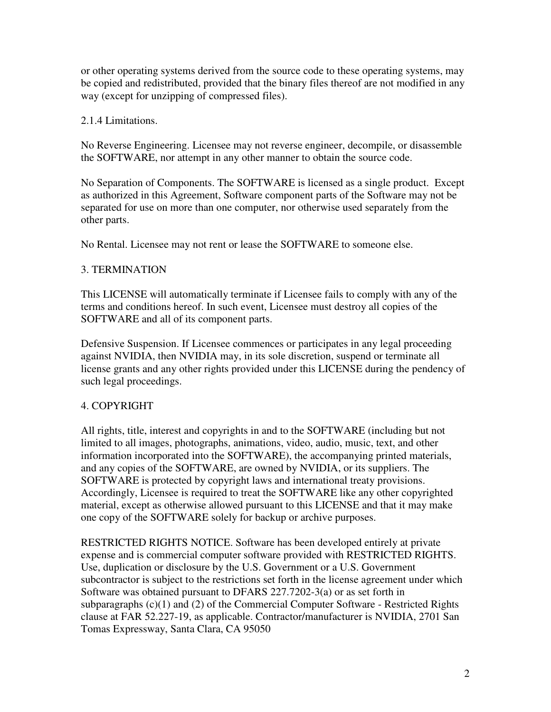or other operating systems derived from the source code to these operating systems, may be copied and redistributed, provided that the binary files thereof are not modified in any way (except for unzipping of compressed files).

## 2.1.4 Limitations.

No Reverse Engineering. Licensee may not reverse engineer, decompile, or disassemble the SOFTWARE, nor attempt in any other manner to obtain the source code.

No Separation of Components. The SOFTWARE is licensed as a single product. Except as authorized in this Agreement, Software component parts of the Software may not be separated for use on more than one computer, nor otherwise used separately from the other parts.

No Rental. Licensee may not rent or lease the SOFTWARE to someone else.

# 3. TERMINATION

This LICENSE will automatically terminate if Licensee fails to comply with any of the terms and conditions hereof. In such event, Licensee must destroy all copies of the SOFTWARE and all of its component parts.

Defensive Suspension. If Licensee commences or participates in any legal proceeding against NVIDIA, then NVIDIA may, in its sole discretion, suspend or terminate all license grants and any other rights provided under this LICENSE during the pendency of such legal proceedings.

# 4. COPYRIGHT

All rights, title, interest and copyrights in and to the SOFTWARE (including but not limited to all images, photographs, animations, video, audio, music, text, and other information incorporated into the SOFTWARE), the accompanying printed materials, and any copies of the SOFTWARE, are owned by NVIDIA, or its suppliers. The SOFTWARE is protected by copyright laws and international treaty provisions. Accordingly, Licensee is required to treat the SOFTWARE like any other copyrighted material, except as otherwise allowed pursuant to this LICENSE and that it may make one copy of the SOFTWARE solely for backup or archive purposes.

RESTRICTED RIGHTS NOTICE. Software has been developed entirely at private expense and is commercial computer software provided with RESTRICTED RIGHTS. Use, duplication or disclosure by the U.S. Government or a U.S. Government subcontractor is subject to the restrictions set forth in the license agreement under which Software was obtained pursuant to DFARS 227.7202-3(a) or as set forth in subparagraphs  $(c)(1)$  and  $(2)$  of the Commercial Computer Software - Restricted Rights clause at FAR 52.227-19, as applicable. Contractor/manufacturer is NVIDIA, 2701 San Tomas Expressway, Santa Clara, CA 95050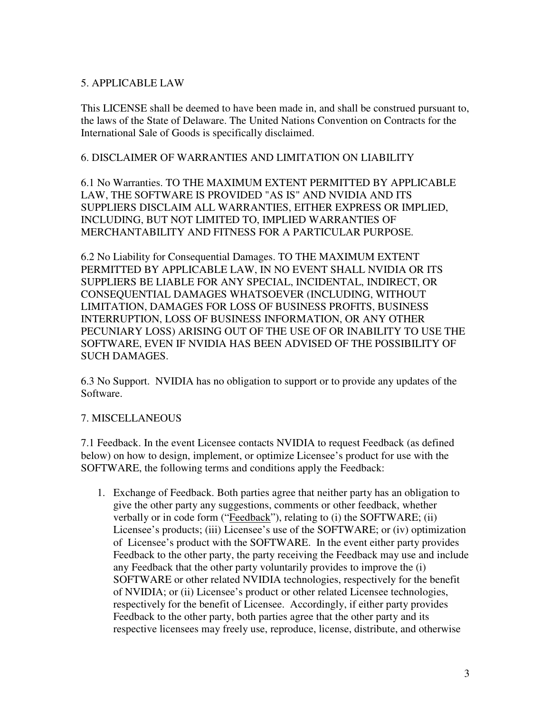### 5. APPLICABLE LAW

This LICENSE shall be deemed to have been made in, and shall be construed pursuant to, the laws of the State of Delaware. The United Nations Convention on Contracts for the International Sale of Goods is specifically disclaimed.

#### 6. DISCLAIMER OF WARRANTIES AND LIMITATION ON LIABILITY

6.1 No Warranties. TO THE MAXIMUM EXTENT PERMITTED BY APPLICABLE LAW, THE SOFTWARE IS PROVIDED "AS IS" AND NVIDIA AND ITS SUPPLIERS DISCLAIM ALL WARRANTIES, EITHER EXPRESS OR IMPLIED, INCLUDING, BUT NOT LIMITED TO, IMPLIED WARRANTIES OF MERCHANTABILITY AND FITNESS FOR A PARTICULAR PURPOSE.

6.2 No Liability for Consequential Damages. TO THE MAXIMUM EXTENT PERMITTED BY APPLICABLE LAW, IN NO EVENT SHALL NVIDIA OR ITS SUPPLIERS BE LIABLE FOR ANY SPECIAL, INCIDENTAL, INDIRECT, OR CONSEQUENTIAL DAMAGES WHATSOEVER (INCLUDING, WITHOUT LIMITATION, DAMAGES FOR LOSS OF BUSINESS PROFITS, BUSINESS INTERRUPTION, LOSS OF BUSINESS INFORMATION, OR ANY OTHER PECUNIARY LOSS) ARISING OUT OF THE USE OF OR INABILITY TO USE THE SOFTWARE, EVEN IF NVIDIA HAS BEEN ADVISED OF THE POSSIBILITY OF SUCH DAMAGES.

6.3 No Support. NVIDIA has no obligation to support or to provide any updates of the Software.

## 7. MISCELLANEOUS

7.1 Feedback. In the event Licensee contacts NVIDIA to request Feedback (as defined below) on how to design, implement, or optimize Licensee's product for use with the SOFTWARE, the following terms and conditions apply the Feedback:

1. Exchange of Feedback. Both parties agree that neither party has an obligation to give the other party any suggestions, comments or other feedback, whether verbally or in code form ("Feedback"), relating to (i) the SOFTWARE; (ii) Licensee's products; (iii) Licensee's use of the SOFTWARE; or (iv) optimization of Licensee's product with the SOFTWARE. In the event either party provides Feedback to the other party, the party receiving the Feedback may use and include any Feedback that the other party voluntarily provides to improve the (i) SOFTWARE or other related NVIDIA technologies, respectively for the benefit of NVIDIA; or (ii) Licensee's product or other related Licensee technologies, respectively for the benefit of Licensee. Accordingly, if either party provides Feedback to the other party, both parties agree that the other party and its respective licensees may freely use, reproduce, license, distribute, and otherwise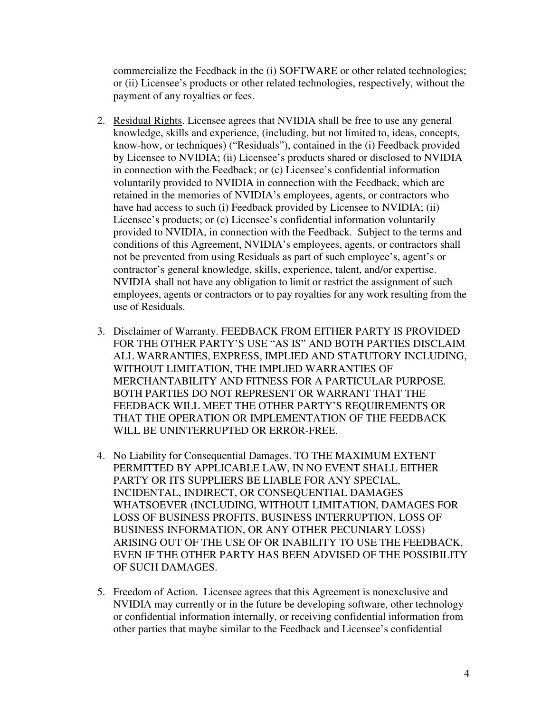commercialize the Feedback in the (i) SOFTWARE or other related technologies; or (ii) Licensee's products or other related technologies, respectively, without the payment of any royalties or fees.

- 2. Residual Rights. Licensee agrees that NVIDIA shall be free to use any general knowledge, skills and experience, (including, but not limited to, ideas, concepts, know-how, or techniques) ("Residuals"), contained in the (i) Feedback provided by Licensee to NVIDIA; (ii) Licensee's products shared or disclosed to NVIDIA in connection with the Feedback; or (c) Licensee's confidential information voluntarily provided to NVIDIA in connection with the Feedback, which are retained in the memories of NVIDIA's employees, agents, or contractors who have had access to such (i) Feedback provided by Licensee to NVIDIA; (ii) Licensee's products; or (c) Licensee's confidential information voluntarily provided to NVIDIA, in connection with the Feedback. Subject to the terms and conditions of this Agreement, NVIDIA's employees, agents, or contractors shall not be prevented from using Residuals as part of such employee's, agent's or contractor's general knowledge, skills, experience, talent, and/or expertise. NVIDIA shall not have any obligation to limit or restrict the assignment of such employees, agents or contractors or to pay royalties for any work resulting from the use of Residuals.
- 3. Disclaimer of Warranty. FEEDBACK FROM EITHER PARTY IS PROVIDED FOR THE OTHER PARTY'S USE "AS IS" AND BOTH PARTIES DISCLAIM ALL WARRANTIES, EXPRESS, IMPLIED AND STATUTORY INCLUDING, WITHOUT LIMITATION, THE IMPLIED WARRANTIES OF MERCHANTABILITY AND FITNESS FOR A PARTICULAR PURPOSE. BOTH PARTIES DO NOT REPRESENT OR WARRANT THAT THE FEEDBACK WILL MEET THE OTHER PARTY'S REQUIREMENTS OR THAT THE OPERATION OR IMPLEMENTATION OF THE FEEDBACK WILL BE UNINTERRUPTED OR ERROR-FREE.
- 4. No Liability for Consequential Damages. TO THE MAXIMUM EXTENT PERMITTED BY APPLICABLE LAW, IN NO EVENT SHALL EITHER PARTY OR ITS SUPPLIERS BE LIABLE FOR ANY SPECIAL, INCIDENTAL, INDIRECT, OR CONSEQUENTIAL DAMAGES WHATSOEVER (INCLUDING, WITHOUT LIMITATION, DAMAGES FOR LOSS OF BUSINESS PROFITS, BUSINESS INTERRUPTION, LOSS OF BUSINESS INFORMATION, OR ANY OTHER PECUNIARY LOSS) ARISING OUT OF THE USE OF OR INABILITY TO USE THE FEEDBACK, EVEN IF THE OTHER PARTY HAS BEEN ADVISED OF THE POSSIBILITY OF SUCH DAMAGES.
- 5. Freedom of Action. Licensee agrees that this Agreement is nonexclusive and NVIDIA may currently or in the future be developing software, other technology or confidential information internally, or receiving confidential information from other parties that maybe similar to the Feedback and Licensee's confidential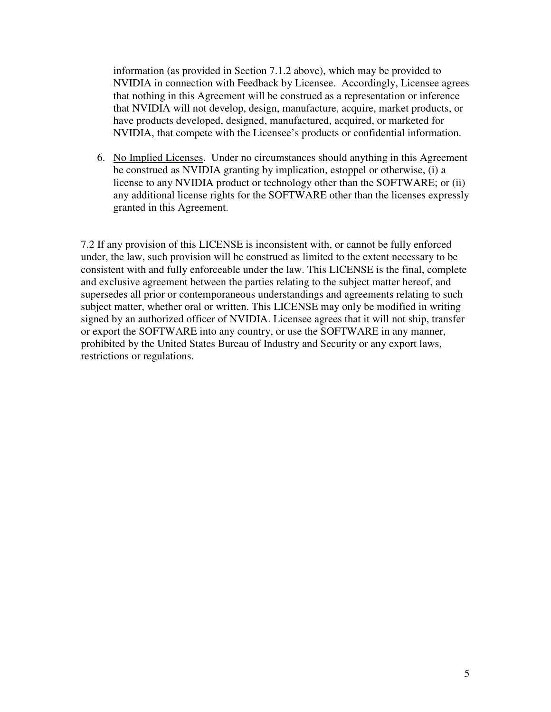information (as provided in Section 7.1.2 above), which may be provided to NVIDIA in connection with Feedback by Licensee. Accordingly, Licensee agrees that nothing in this Agreement will be construed as a representation or inference that NVIDIA will not develop, design, manufacture, acquire, market products, or have products developed, designed, manufactured, acquired, or marketed for NVIDIA, that compete with the Licensee's products or confidential information.

6. No Implied Licenses. Under no circumstances should anything in this Agreement be construed as NVIDIA granting by implication, estoppel or otherwise, (i) a license to any NVIDIA product or technology other than the SOFTWARE; or (ii) any additional license rights for the SOFTWARE other than the licenses expressly granted in this Agreement.

7.2 If any provision of this LICENSE is inconsistent with, or cannot be fully enforced under, the law, such provision will be construed as limited to the extent necessary to be consistent with and fully enforceable under the law. This LICENSE is the final, complete and exclusive agreement between the parties relating to the subject matter hereof, and supersedes all prior or contemporaneous understandings and agreements relating to such subject matter, whether oral or written. This LICENSE may only be modified in writing signed by an authorized officer of NVIDIA. Licensee agrees that it will not ship, transfer or export the SOFTWARE into any country, or use the SOFTWARE in any manner, prohibited by the United States Bureau of Industry and Security or any export laws, restrictions or regulations.